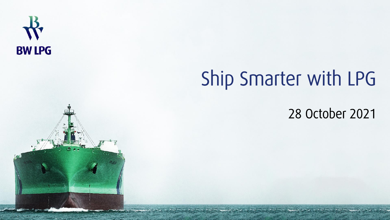

# Ship Smarter with LPG

28 October 2021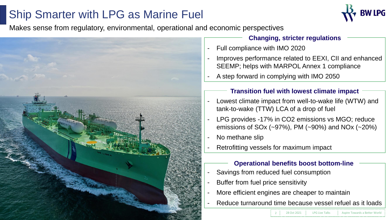## Ship Smarter with LPG as Marine Fuel



Makes sense from regulatory, environmental, operational and economic perspectives



**Changing, stricter regulations**

- Full compliance with IMO 2020
- Improves performance related to EEXI, CII and enhanced SEEMP; helps with MARPOL Annex 1 compliance
- A step forward in complying with IMO 2050

#### **Transition fuel with lowest climate impact**

- Lowest climate impact from well-to-wake life (WTW) and tank-to-wake (TTW) LCA of a drop of fuel
- LPG provides -17% in CO2 emissions vs MGO; reduce emissions of SOx (~97%), PM (~90%) and NOx (~20%)
- No methane slip
- Retrofitting vessels for maximum impact

### **Operational benefits boost bottom-line**

- Savings from reduced fuel consumption
- Buffer from fuel price sensitivity
- More efficient engines are cheaper to maintain
- Reduce turnaround time because vessel refuel as it loads

**1 PG Live Talks Aspire Towards a Better World**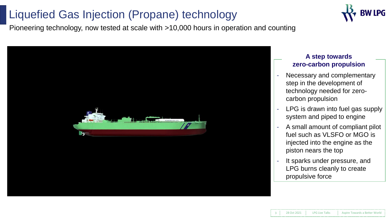### Liquefied Gas Injection (Propane) technology



Pioneering technology, now tested at scale with >10,000 hours in operation and counting



#### **A step towards zero-carbon propulsion**

- Necessary and complementary step in the development of technology needed for zerocarbon propulsion
- LPG is drawn into fuel gas supply system and piped to engine
- A small amount of compliant pilot fuel such as VLSFO or MGO is injected into the engine as the piston nears the top
- It sparks under pressure, and LPG burns cleanly to create propulsive force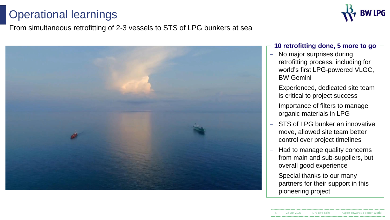## Operational learnings

### From simultaneous retrofitting of 2-3 vessels to STS of LPG bunkers at sea



#### **10 retrofitting done, 5 more to go**

- No major surprises during retrofitting process, including for world's first LPG-powered VLGC, BW Gemini
- Experienced, dedicated site team is critical to project success
- Importance of filters to manage organic materials in LPG
- STS of LPG bunker an innovative move, allowed site team better control over project timelines
- Had to manage quality concerns from main and sub-suppliers, but overall good experience
- Special thanks to our many partners for their support in this pioneering project